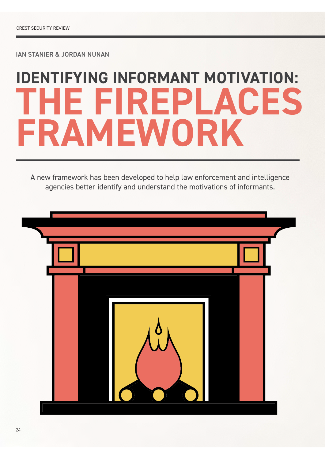IAN STANIER & JORDAN NUNAN

# **IDENTIFYING INFORMANT MOTIVATION: THE FIREPLACES FRAMEWORK**

A new framework has been developed to help law enforcement and intelligence agencies better identify and understand the motivations of informants.

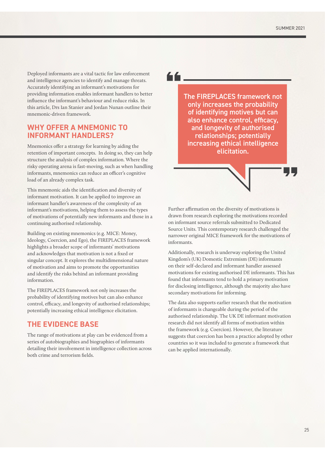Deployed informants are a vital tactic for law enforcement and intelligence agencies to identify and manage threats. Accurately identifying an informant's motivations for providing information enables informant handlers to better influence the informant's behaviour and reduce risks. In this article, Drs Ian Stanier and Jordan Nunan outline their mnemonic-driven framework.

#### **WHY OFFER A MNEMONIC TO INFORMANT HANDLERS?**

Mnemonics offer a strategy for learning by aiding the retention of important concepts. In doing so, they can help structure the analysis of complex information. Where the risky operating arena is fast-moving, such as when handling informants, mnemonics can reduce an officer's cognitive load of an already complex task.

This mnemonic aids the identification and diversity of informant motivation. It can be applied to improve an informant handler's awareness of the complexity of an informant's motivations, helping them to assess the types of motivations of potentially new informants and those in a continuing authorised relationship.

Building on existing mnemonics (e.g. MICE: Money, Ideology, Coercion, and Ego), the FIREPLACES framework highlights a broader scope of informants' motivations and acknowledges that motivation is not a fixed or singular concept. It explores the multidimensional nature of motivation and aims to promote the opportunities and identify the risks behind an informant providing information.

The FIREPLACES framework not only increases the probability of identifying motives but can also enhance control, efficacy, and longevity of authorised relationships; potentially increasing ethical intelligence elicitation.

#### **THE EVIDENCE BASE**

The range of motivations at play can be evidenced from a series of autobiographies and biographies of informants detailing their involvement in intelligence collection across both crime and terrorism fields.

66\_

The FIREPLACES framework not only increases the probability of identifying motives but can also enhance control, efficacy, and longevity of authorised relationships; potentially increasing ethical intelligence elicitation.

Further affirmation on the diversity of motivations is drawn from research exploring the motivations recorded on informant source referrals submitted to Dedicated Source Units. This contemporary research challenged the narrower original MICE framework for the motivations of informants.

Additionally, research is underway exploring the United Kingdom's (UK) Domestic Extremism (DE) informants on their self-declared and informant handler assessed motivations for existing authorised DE informants. This has found that informants tend to hold a primary motivation for disclosing intelligence, although the majority also have secondary motivations for informing.

The data also supports earlier research that the motivation of informants is changeable during the period of the authorised relationship. The UK DE informant motivation research did not identify all forms of motivation within the framework (e.g. Coercion). However, the literature suggests that coercion has been a practice adopted by other countries so it was included to generate a framework that can be applied internationally.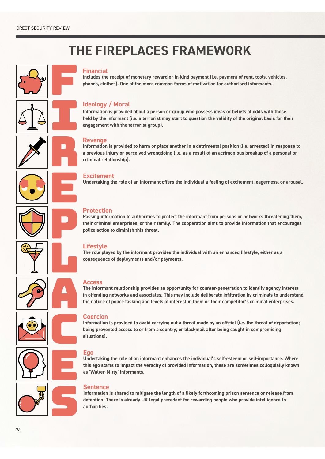## **THE FIREPLACES FRAMEWORK**





#### **Financial**

**Includes the receipt of monetary reward or in-kind payment (i.e. payment of rent, tools, vehicles, phones, clothes). One of the more common forms of motivation for authorised informants.**

#### **Ideology / Moral**

**Information is provided about a person or group who possess ideas or beliefs at odds with those held by the informant (i.e. a terrorist may start to question the validity of the original basis for their engagement with the terrorist group).**

#### **Revenge**

**Information is provided to harm or place another in a detrimental position (i.e. arrested) in response to a previous injury or perceived wrongdoing (i.e. as a result of an acrimonious breakup of a personal or criminal relationship).**

#### E**xcitement**

**Undertaking the role of an informant offers the individual a feeling of excitement, eagerness, or arousal.**

#### **Protection**

**Passing information to authorities to protect the informant from persons or networks threatening them, their criminal enterprises, or their family. The cooperation aims to provide information that encourages police action to diminish this threat.**

#### **Lifestyle**

**The role played by the informant provides the individual with an enhanced lifestyle, either as a consequence of deployments and/or payments.**



## **Access**

**The informant relationship provides an opportunity for counter-penetration to identify agency interest in offending networks and associates. This may include deliberate infiltration by criminals to understand the nature of police tasking and levels of interest in them or their competitor's criminal enterprises.**

#### **Coercion**

**Information is provided to avoid carrying out a threat made by an official (i.e. the threat of deportation; being prevented access to or from a country; or blackmail after being caught in compromising situations).**

#### **Ego**

**Undertaking the role of an informant enhances the individual's self-esteem or self-importance. Where this ego starts to impact the veracity of provided information, these are sometimes colloquially known as 'Walter-Mitty' informants.**

#### **Sentence**

**Information is shared to mitigate the length of a likely forthcoming prison sentence or release from detention. There is already UK legal precedent for rewarding people who provide intelligence to authorities.**